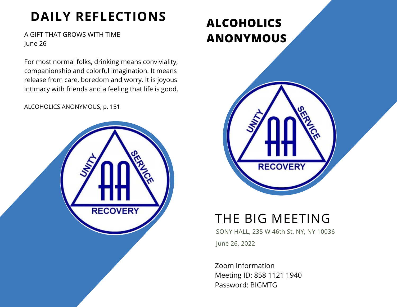# **DAILY REFLECTIONS**

A GIFT THAT GROWS WITH TIME June 26

For most normal folks, drinking means conviviality, companionship and colorful imagination. It means release from care, boredom and worry. It is joyous intimacy with friends and a feeling that life is good.

ALCOHOLICS ANONYMOUS, p. 151



## **ALCOHOLICS ANONYMOUS**



## THE BIG MEETING

June 26, 2022 SONY HALL, 235 W 46th St, NY, NY 10036

Zoom Information Meeting ID: 858 1121 1940 Password: BIGMTG